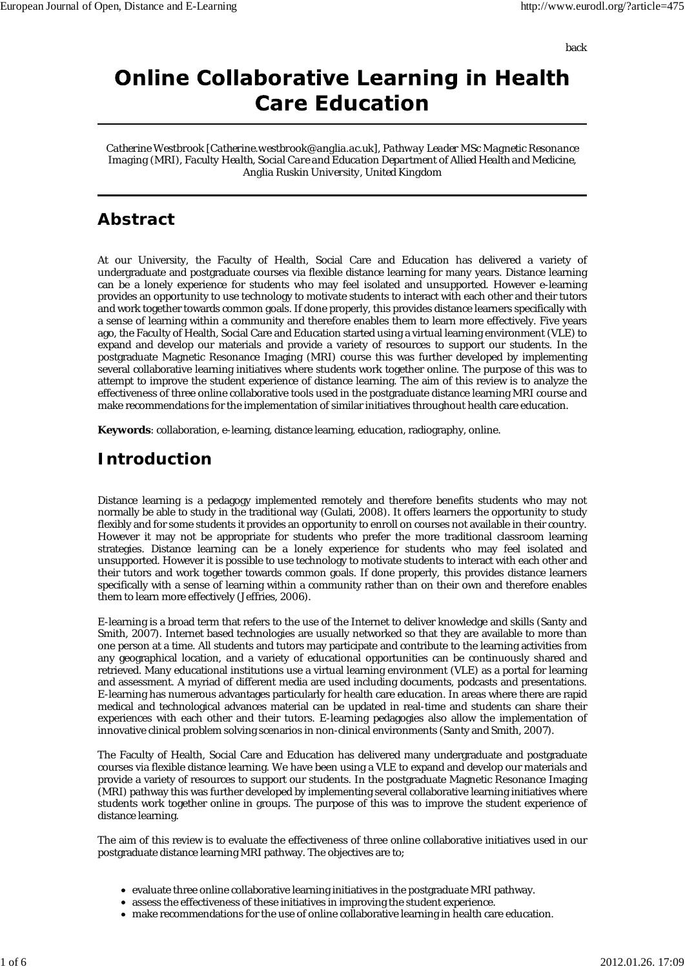back

# **Online Collaborative Learning in Health Care Education**

*Catherine Westbrook [Catherine.westbrook@anglia.ac.uk], Pathway Leader MSc Magnetic Resonance Imaging (MRI), Faculty Health, Social Care and Education Department of Allied Health and Medicine, Anglia Ruskin University, United Kingdom*

## **Abstract**

At our University, the Faculty of Health, Social Care and Education has delivered a variety of undergraduate and postgraduate courses via flexible distance learning for many years. Distance learning can be a lonely experience for students who may feel isolated and unsupported. However e-learning provides an opportunity to use technology to motivate students to interact with each other and their tutors and work together towards common goals. If done properly, this provides distance learners specifically with a sense of learning within a community and therefore enables them to learn more effectively. Five years ago, the Faculty of Health, Social Care and Education started using a virtual learning environment (VLE) to expand and develop our materials and provide a variety of resources to support our students. In the postgraduate Magnetic Resonance Imaging (MRI) course this was further developed by implementing several collaborative learning initiatives where students work together online. The purpose of this was to attempt to improve the student experience of distance learning. The aim of this review is to analyze the effectiveness of three online collaborative tools used in the postgraduate distance learning MRI course and make recommendations for the implementation of similar initiatives throughout health care education.

**Keywords**: collaboration, e-learning, distance learning, education, radiography, online.

### **Introduction**

Distance learning is a pedagogy implemented remotely and therefore benefits students who may not normally be able to study in the traditional way (Gulati, 2008). It offers learners the opportunity to study flexibly and for some students it provides an opportunity to enroll on courses not available in their country. However it may not be appropriate for students who prefer the more traditional classroom learning strategies. Distance learning can be a lonely experience for students who may feel isolated and unsupported. However it is possible to use technology to motivate students to interact with each other and their tutors and work together towards common goals. If done properly, this provides distance learners specifically with a sense of learning within a community rather than on their own and therefore enables them to learn more effectively (Jeffries, 2006).

E-learning is a broad term that refers to the use of the Internet to deliver knowledge and skills (Santy and Smith, 2007). Internet based technologies are usually networked so that they are available to more than one person at a time. All students and tutors may participate and contribute to the learning activities from any geographical location, and a variety of educational opportunities can be continuously shared and retrieved. Many educational institutions use a virtual learning environment (VLE) as a portal for learning and assessment. A myriad of different media are used including documents, podcasts and presentations. E-learning has numerous advantages particularly for health care education. In areas where there are rapid medical and technological advances material can be updated in real-time and students can share their experiences with each other and their tutors. E-learning pedagogies also allow the implementation of innovative clinical problem solving scenarios in non-clinical environments (Santy and Smith, 2007).

The Faculty of Health, Social Care and Education has delivered many undergraduate and postgraduate courses via flexible distance learning. We have been using a VLE to expand and develop our materials and provide a variety of resources to support our students. In the postgraduate Magnetic Resonance Imaging (MRI) pathway this was further developed by implementing several collaborative learning initiatives where students work together online in groups. The purpose of this was to improve the student experience of distance learning.

The aim of this review is to evaluate the effectiveness of three online collaborative initiatives used in our postgraduate distance learning MRI pathway. The objectives are to;

- evaluate three online collaborative learning initiatives in the postgraduate MRI pathway.
- assess the effectiveness of these initiatives in improving the student experience.
- make recommendations for the use of online collaborative learning in health care education.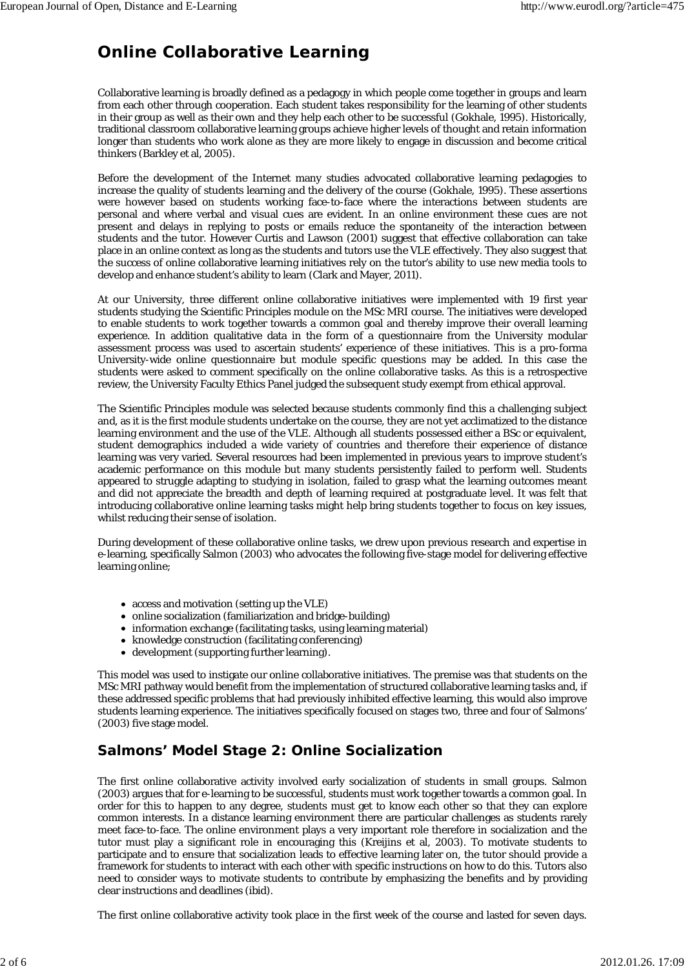## **Online Collaborative Learning**

Collaborative learning is broadly defined as a pedagogy in which people come together in groups and learn from each other through cooperation. Each student takes responsibility for the learning of other students in their group as well as their own and they help each other to be successful (Gokhale, 1995). Historically, traditional classroom collaborative learning groups achieve higher levels of thought and retain information longer than students who work alone as they are more likely to engage in discussion and become critical thinkers (Barkley et al, 2005).

Before the development of the Internet many studies advocated collaborative learning pedagogies to increase the quality of students learning and the delivery of the course (Gokhale, 1995). These assertions were however based on students working face-to-face where the interactions between students are personal and where verbal and visual cues are evident. In an online environment these cues are not present and delays in replying to posts or emails reduce the spontaneity of the interaction between students and the tutor. However Curtis and Lawson (2001) suggest that effective collaboration can take place in an online context as long as the students and tutors use the VLE effectively. They also suggest that the success of online collaborative learning initiatives rely on the tutor's ability to use new media tools to develop and enhance student's ability to learn (Clark and Mayer, 2011).

At our University, three different online collaborative initiatives were implemented with 19 first year students studying the Scientific Principles module on the MSc MRI course. The initiatives were developed to enable students to work together towards a common goal and thereby improve their overall learning experience. In addition qualitative data in the form of a questionnaire from the University modular assessment process was used to ascertain students' experience of these initiatives. This is a pro-forma University-wide online questionnaire but module specific questions may be added. In this case the students were asked to comment specifically on the online collaborative tasks. As this is a retrospective review, the University Faculty Ethics Panel judged the subsequent study exempt from ethical approval.

The Scientific Principles module was selected because students commonly find this a challenging subject and, as it is the first module students undertake on the course, they are not yet acclimatized to the distance learning environment and the use of the VLE. Although all students possessed either a BSc or equivalent, student demographics included a wide variety of countries and therefore their experience of distance learning was very varied. Several resources had been implemented in previous years to improve student's academic performance on this module but many students persistently failed to perform well. Students appeared to struggle adapting to studying in isolation, failed to grasp what the learning outcomes meant and did not appreciate the breadth and depth of learning required at postgraduate level. It was felt that introducing collaborative online learning tasks might help bring students together to focus on key issues, whilst reducing their sense of isolation.

During development of these collaborative online tasks, we drew upon previous research and expertise in e-learning, specifically Salmon (2003) who advocates the following five-stage model for delivering effective learning online;

- access and motivation (setting up the VLE)
- online socialization (familiarization and bridge-building)
- information exchange (facilitating tasks, using learning material)
- knowledge construction (facilitating conferencing)
- development (supporting further learning).

This model was used to instigate our online collaborative initiatives. The premise was that students on the MSc MRI pathway would benefit from the implementation of structured collaborative learning tasks and, if these addressed specific problems that had previously inhibited effective learning, this would also improve students learning experience. The initiatives specifically focused on stages two, three and four of Salmons' (2003) five stage model.

#### **Salmons' Model Stage 2: Online Socialization**

The first online collaborative activity involved early socialization of students in small groups. Salmon (2003) argues that for e-learning to be successful, students must work together towards a common goal. In order for this to happen to any degree, students must get to know each other so that they can explore common interests. In a distance learning environment there are particular challenges as students rarely meet face-to-face. The online environment plays a very important role therefore in socialization and the tutor must play a significant role in encouraging this (Kreijins et al, 2003). To motivate students to participate and to ensure that socialization leads to effective learning later on, the tutor should provide a framework for students to interact with each other with specific instructions on how to do this. Tutors also need to consider ways to motivate students to contribute by emphasizing the benefits and by providing clear instructions and deadlines (ibid).

The first online collaborative activity took place in the first week of the course and lasted for seven days.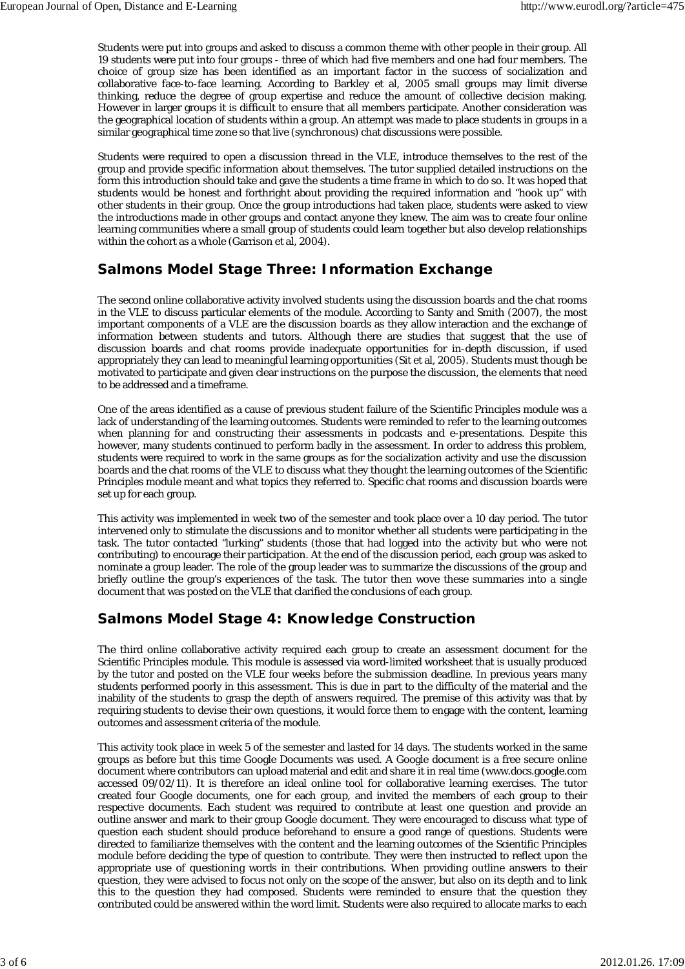Students were put into groups and asked to discuss a common theme with other people in their group. All 19 students were put into four groups - three of which had five members and one had four members. The choice of group size has been identified as an important factor in the success of socialization and collaborative face-to-face learning. According to Barkley et al, 2005 small groups may limit diverse thinking, reduce the degree of group expertise and reduce the amount of collective decision making. However in larger groups it is difficult to ensure that all members participate. Another consideration was the geographical location of students within a group. An attempt was made to place students in groups in a similar geographical time zone so that live (synchronous) chat discussions were possible.

Students were required to open a discussion thread in the VLE, introduce themselves to the rest of the group and provide specific information about themselves. The tutor supplied detailed instructions on the form this introduction should take and gave the students a time frame in which to do so. It was hoped that students would be honest and forthright about providing the required information and "hook up" with other students in their group. Once the group introductions had taken place, students were asked to view the introductions made in other groups and contact anyone they knew. The aim was to create four online learning communities where a small group of students could learn together but also develop relationships within the cohort as a whole (Garrison et al, 2004).

#### **Salmons Model Stage Three: Information Exchange**

The second online collaborative activity involved students using the discussion boards and the chat rooms in the VLE to discuss particular elements of the module. According to Santy and Smith (2007), the most important components of a VLE are the discussion boards as they allow interaction and the exchange of information between students and tutors. Although there are studies that suggest that the use of discussion boards and chat rooms provide inadequate opportunities for in-depth discussion, if used appropriately they can lead to meaningful learning opportunities (Sit et al, 2005). Students must though be motivated to participate and given clear instructions on the purpose the discussion, the elements that need to be addressed and a timeframe.

One of the areas identified as a cause of previous student failure of the Scientific Principles module was a lack of understanding of the learning outcomes. Students were reminded to refer to the learning outcomes when planning for and constructing their assessments in podcasts and e-presentations. Despite this however, many students continued to perform badly in the assessment. In order to address this problem, students were required to work in the same groups as for the socialization activity and use the discussion boards and the chat rooms of the VLE to discuss what they thought the learning outcomes of the Scientific Principles module meant and what topics they referred to. Specific chat rooms and discussion boards were set up for each group.

This activity was implemented in week two of the semester and took place over a 10 day period. The tutor intervened only to stimulate the discussions and to monitor whether all students were participating in the task. The tutor contacted "lurking" students (those that had logged into the activity but who were not contributing) to encourage their participation. At the end of the discussion period, each group was asked to nominate a group leader. The role of the group leader was to summarize the discussions of the group and briefly outline the group's experiences of the task. The tutor then wove these summaries into a single document that was posted on the VLE that clarified the conclusions of each group.

#### **Salmons Model Stage 4: Knowledge Construction**

The third online collaborative activity required each group to create an assessment document for the Scientific Principles module. This module is assessed via word-limited worksheet that is usually produced by the tutor and posted on the VLE four weeks before the submission deadline. In previous years many students performed poorly in this assessment. This is due in part to the difficulty of the material and the inability of the students to grasp the depth of answers required. The premise of this activity was that by requiring students to devise their own questions, it would force them to engage with the content, learning outcomes and assessment criteria of the module.

This activity took place in week 5 of the semester and lasted for 14 days. The students worked in the same groups as before but this time Google Documents was used. A Google document is a free secure online document where contributors can upload material and edit and share it in real time (www.docs.google.com accessed 09/02/11). It is therefore an ideal online tool for collaborative learning exercises. The tutor created four Google documents, one for each group, and invited the members of each group to their respective documents. Each student was required to contribute at least one question and provide an outline answer and mark to their group Google document. They were encouraged to discuss what type of question each student should produce beforehand to ensure a good range of questions. Students were directed to familiarize themselves with the content and the learning outcomes of the Scientific Principles module before deciding the type of question to contribute. They were then instructed to reflect upon the appropriate use of questioning words in their contributions. When providing outline answers to their question, they were advised to focus not only on the scope of the answer, but also on its depth and to link this to the question they had composed. Students were reminded to ensure that the question they contributed could be answered within the word limit. Students were also required to allocate marks to each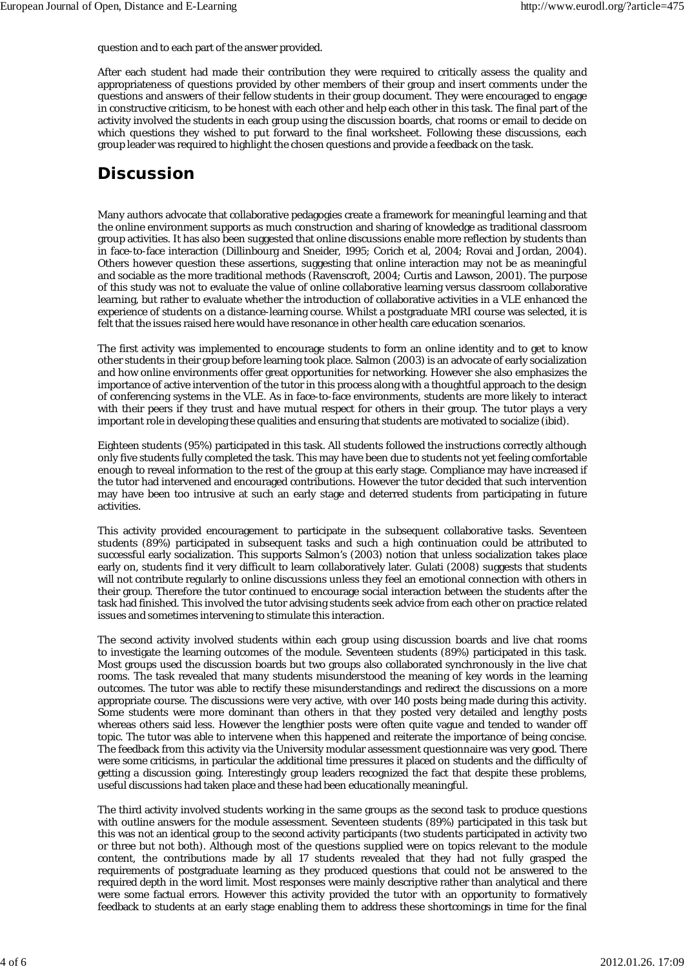question and to each part of the answer provided.

After each student had made their contribution they were required to critically assess the quality and appropriateness of questions provided by other members of their group and insert comments under the questions and answers of their fellow students in their group document. They were encouraged to engage in constructive criticism, to be honest with each other and help each other in this task. The final part of the activity involved the students in each group using the discussion boards, chat rooms or email to decide on which questions they wished to put forward to the final worksheet. Following these discussions, each group leader was required to highlight the chosen questions and provide a feedback on the task.

### **Discussion**

Many authors advocate that collaborative pedagogies create a framework for meaningful learning and that the online environment supports as much construction and sharing of knowledge as traditional classroom group activities. It has also been suggested that online discussions enable more reflection by students than in face-to-face interaction (Dillinbourg and Sneider, 1995; Corich et al, 2004; Rovai and Jordan, 2004). Others however question these assertions, suggesting that online interaction may not be as meaningful and sociable as the more traditional methods (Ravenscroft, 2004; Curtis and Lawson, 2001). The purpose of this study was not to evaluate the value of online collaborative learning versus classroom collaborative learning, but rather to evaluate whether the introduction of collaborative activities in a VLE enhanced the experience of students on a distance-learning course. Whilst a postgraduate MRI course was selected, it is felt that the issues raised here would have resonance in other health care education scenarios.

The first activity was implemented to encourage students to form an online identity and to get to know other students in their group before learning took place. Salmon (2003) is an advocate of early socialization and how online environments offer great opportunities for networking. However she also emphasizes the importance of active intervention of the tutor in this process along with a thoughtful approach to the design of conferencing systems in the VLE. As in face-to-face environments, students are more likely to interact with their peers if they trust and have mutual respect for others in their group. The tutor plays a very important role in developing these qualities and ensuring that students are motivated to socialize (ibid).

Eighteen students (95%) participated in this task. All students followed the instructions correctly although only five students fully completed the task. This may have been due to students not yet feeling comfortable enough to reveal information to the rest of the group at this early stage. Compliance may have increased if the tutor had intervened and encouraged contributions. However the tutor decided that such intervention may have been too intrusive at such an early stage and deterred students from participating in future activities.

This activity provided encouragement to participate in the subsequent collaborative tasks. Seventeen students (89%) participated in subsequent tasks and such a high continuation could be attributed to successful early socialization. This supports Salmon's (2003) notion that unless socialization takes place early on, students find it very difficult to learn collaboratively later. Gulati (2008) suggests that students will not contribute regularly to online discussions unless they feel an emotional connection with others in their group. Therefore the tutor continued to encourage social interaction between the students after the task had finished. This involved the tutor advising students seek advice from each other on practice related issues and sometimes intervening to stimulate this interaction.

The second activity involved students within each group using discussion boards and live chat rooms to investigate the learning outcomes of the module. Seventeen students (89%) participated in this task. Most groups used the discussion boards but two groups also collaborated synchronously in the live chat rooms. The task revealed that many students misunderstood the meaning of key words in the learning outcomes. The tutor was able to rectify these misunderstandings and redirect the discussions on a more appropriate course. The discussions were very active, with over 140 posts being made during this activity. Some students were more dominant than others in that they posted very detailed and lengthy posts whereas others said less. However the lengthier posts were often quite vague and tended to wander off topic. The tutor was able to intervene when this happened and reiterate the importance of being concise. The feedback from this activity via the University modular assessment questionnaire was very good. There were some criticisms, in particular the additional time pressures it placed on students and the difficulty of getting a discussion going. Interestingly group leaders recognized the fact that despite these problems, useful discussions had taken place and these had been educationally meaningful.

The third activity involved students working in the same groups as the second task to produce questions with outline answers for the module assessment. Seventeen students (89%) participated in this task but this was not an identical group to the second activity participants (two students participated in activity two or three but not both). Although most of the questions supplied were on topics relevant to the module content, the contributions made by all 17 students revealed that they had not fully grasped the requirements of postgraduate learning as they produced questions that could not be answered to the required depth in the word limit. Most responses were mainly descriptive rather than analytical and there were some factual errors. However this activity provided the tutor with an opportunity to formatively feedback to students at an early stage enabling them to address these shortcomings in time for the final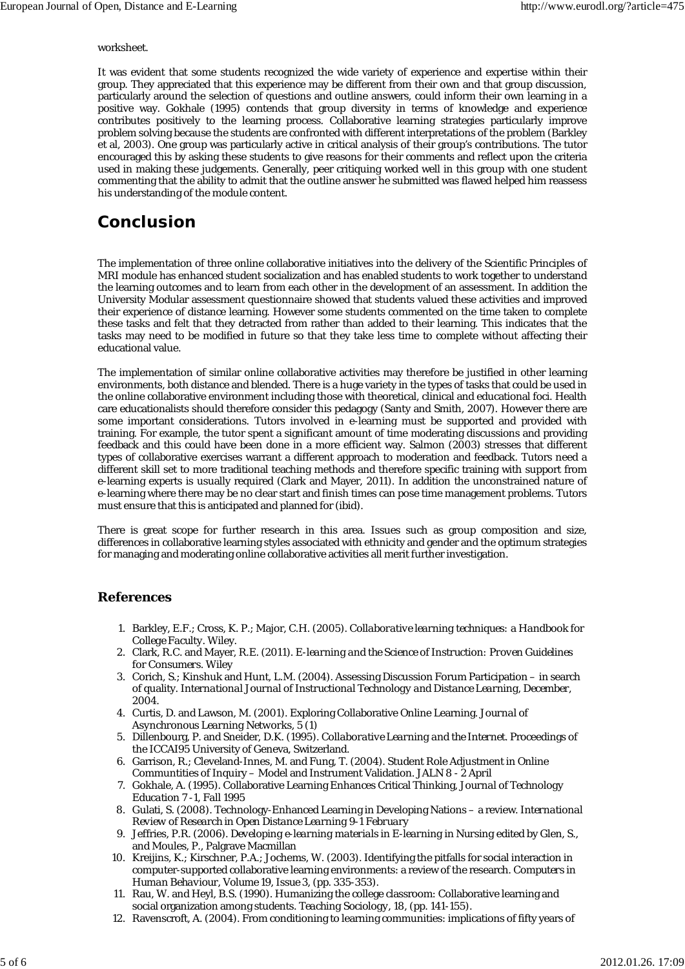#### worksheet.

It was evident that some students recognized the wide variety of experience and expertise within their group. They appreciated that this experience may be different from their own and that group discussion, particularly around the selection of questions and outline answers, could inform their own learning in a positive way. Gokhale (1995) contends that group diversity in terms of knowledge and experience contributes positively to the learning process. Collaborative learning strategies particularly improve problem solving because the students are confronted with different interpretations of the problem (Barkley et al, 2003). One group was particularly active in critical analysis of their group's contributions. The tutor encouraged this by asking these students to give reasons for their comments and reflect upon the criteria used in making these judgements. Generally, peer critiquing worked well in this group with one student commenting that the ability to admit that the outline answer he submitted was flawed helped him reassess his understanding of the module content.

### **Conclusion**

The implementation of three online collaborative initiatives into the delivery of the Scientific Principles of MRI module has enhanced student socialization and has enabled students to work together to understand the learning outcomes and to learn from each other in the development of an assessment. In addition the University Modular assessment questionnaire showed that students valued these activities and improved their experience of distance learning. However some students commented on the time taken to complete these tasks and felt that they detracted from rather than added to their learning. This indicates that the tasks may need to be modified in future so that they take less time to complete without affecting their educational value.

The implementation of similar online collaborative activities may therefore be justified in other learning environments, both distance and blended. There is a huge variety in the types of tasks that could be used in the online collaborative environment including those with theoretical, clinical and educational foci. Health care educationalists should therefore consider this pedagogy (Santy and Smith, 2007). However there are some important considerations. Tutors involved in e-learning must be supported and provided with training. For example, the tutor spent a significant amount of time moderating discussions and providing feedback and this could have been done in a more efficient way. Salmon (2003) stresses that different types of collaborative exercises warrant a different approach to moderation and feedback. Tutors need a different skill set to more traditional teaching methods and therefore specific training with support from e-learning experts is usually required (Clark and Mayer, 2011). In addition the unconstrained nature of e-learning where there may be no clear start and finish times can pose time management problems. Tutors must ensure that this is anticipated and planned for (ibid).

There is great scope for further research in this area. Issues such as group composition and size, differences in collaborative learning styles associated with ethnicity and gender and the optimum strategies for managing and moderating online collaborative activities all merit further investigation.

#### **References**

- Barkley, E.F.; Cross, K. P.; Major, C.H. (2005). *Collaborative learning techniques: a Handbook for* 1. *College Faculty.* Wiley.
- Clark, R.C. and Mayer, R.E. (2011). *E-learning and the Science of Instruction: Proven Guidelines* 2. *for Consumers.* Wiley
- 3. Corich, S.; Kinshuk and Hunt, L.M. (2004). Assessing Discussion Forum Participation in search of quality. *International Journal of Instructional Technology and Distance Learning, December, 2004.*
- 4. Curtis, D. and Lawson, M. (2001). Exploring Collaborative Online Learning. *Journal of Asynchronous Learning Networks, 5 (1)*
- 5. Dillenbourg, P. and Sneider, D.K. (1995). *Collaborative Learning and the Internet.* Proceedings of the ICCAI95 University of Geneva, Switzerland.
- 6. Garrison, R.; Cleveland-Innes, M. and Fung, T. (2004). Student Role Adjustment in Online Communtities of Inquiry – Model and Instrument Validation. *JALN 8 - 2 April*
- 7. Gokhale, A. (1995). Collaborative Learning Enhances Critical Thinking, *Journal of Technology Education 7 -1, Fall 1995*
- 8. Gulati, S. (2008). Technology-Enhanced Learning in Developing Nations a review. *International Review of Research in Open Distance Learning 9-1 February*
- Jeffries, P.R. (2006). *Developing e-learning materials in E-learning in Nursing* edited by Glen, S., 9. and Moules, P., Palgrave Macmillan
- 10. Kreijins, K.; Kirschner, P.A.; Jochems, W. (2003). Identifying the pitfalls for social interaction in computer-supported collaborative learning environments: a review of the research. *Computers in Human Behaviour, Volume 19, Issue 3,* (pp. 335-353).
- 11. Rau, W. and Heyl, B.S. (1990). Humanizing the college classroom: Collaborative learning and social organization among students. *Teaching Sociology, 18,* (pp. 141-155).
- 12. Ravenscroft, A. (2004). From conditioning to learning communities: implications of fifty years of